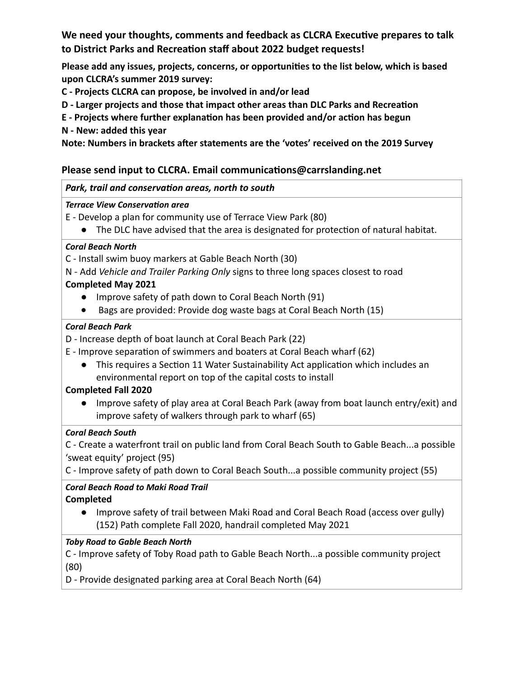**We need your thoughts, comments and feedback as CLCRA Executive prepares to talk to District Parks and Recreation staff about 2022 budget requests!**

**Please add any issues, projects, concerns, or opportunities to the list below, which is based upon CLCRA's summer 2019 survey:**

**C - Projects CLCRA can propose, be involved in and/or lead** 

**D - Larger projects and those that impact other areas than DLC Parks and Recreation** 

- **E Projects where further explanation has been provided and/or action has begun**
- **N New: added this year**

**Note: Numbers in brackets after statements are the 'votes' received on the 2019 Survey**

## **Please send input to CLCRA. Email communications@carrslanding.net**

### *Park, trail and conservation areas, north to south*

#### *Terrace View Conservation area*

- E Develop a plan for community use of Terrace View Park (80)
	- The DLC have advised that the area is designated for protection of natural habitat.

### *Coral Beach North*

C - Install swim buoy markers at Gable Beach North (30)

N - Add *Vehicle and Trailer Parking Only* signs to three long spaces closest to road

## **Completed May 2021**

- Improve safety of path down to Coral Beach North (91)
- Bags are provided: Provide dog waste bags at Coral Beach North (15)

### *Coral Beach Park*

- D Increase depth of boat launch at Coral Beach Park (22)
- E Improve separation of swimmers and boaters at Coral Beach wharf (62)
	- This requires a Section 11 Water Sustainability Act application which includes an environmental report on top of the capital costs to install

### **Completed Fall 2020**

● Improve safety of play area at Coral Beach Park (away from boat launch entry/exit) and improve safety of walkers through park to wharf (65)

### *Coral Beach South*

C - Create a waterfront trail on public land from Coral Beach South to Gable Beach...a possible 'sweat equity' project (95)

C - Improve safety of path down to Coral Beach South...a possible community project (55)

### *Coral Beach Road to Maki Road Trail* **Completed**

● Improve safety of trail between Maki Road and Coral Beach Road (access over gully) (152) Path complete Fall 2020, handrail completed May 2021

### *Toby Road to Gable Beach North*

C - Improve safety of Toby Road path to Gable Beach North...a possible community project (80)

D - Provide designated parking area at Coral Beach North (64)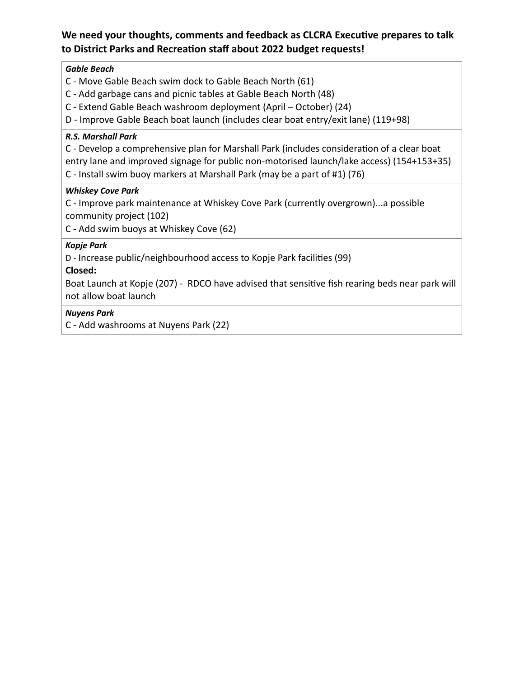## **We need your thoughts, comments and feedback as CLCRA Executive prepares to talk to District Parks and Recreation staff about 2022 budget requests!**

### *Gable Beach*

- C Move Gable Beach swim dock to Gable Beach North (61)
- C Add garbage cans and picnic tables at Gable Beach North (48)
- C Extend Gable Beach washroom deployment (April October) (24)
- D Improve Gable Beach boat launch (includes clear boat entry/exit lane) (119+98)

### *R.S. Marshall Park*

C - Develop a comprehensive plan for Marshall Park (includes consideration of a clear boat entry lane and improved signage for public non-motorised launch/lake access) (154+153+35)

C - Install swim buoy markers at Marshall Park (may be a part of #1) (76)

#### *Whiskey Cove Park*

C - Improve park maintenance at Whiskey Cove Park (currently overgrown)...a possible community project (102)

C - Add swim buoys at Whiskey Cove (62)

### *Kopje Park*

D - Increase public/neighbourhood access to Kopje Park facilities (99)

### **Closed:**

Boat Launch at Kopje (207) - RDCO have advised that sensitive fish rearing beds near park will not allow boat launch

### *Nuyens Park*

C - Add washrooms at Nuyens Park (22)